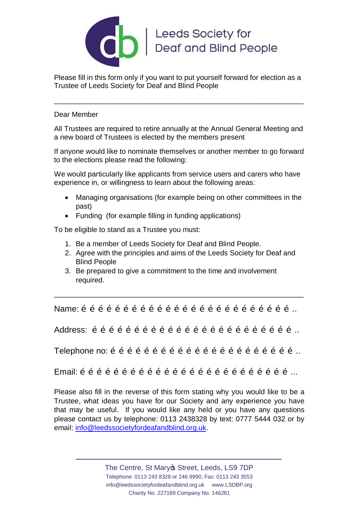

Please fill in this form only if you want to put yourself forward for election as a Trustee of Leeds Society for Deaf and Blind People

\_\_\_\_\_\_\_\_\_\_\_\_\_\_\_\_\_\_\_\_\_\_\_\_\_\_\_\_\_\_\_\_\_\_\_\_\_\_\_\_\_\_\_\_\_\_\_\_\_\_\_\_\_\_\_\_\_\_\_\_\_\_

## Dear Member

All Trustees are required to retire annually at the Annual General Meeting and a new board of Trustees is elected by the members present

If anyone would like to nominate themselves or another member to go forward to the elections please read the following:

We would particularly like applicants from service users and carers who have experience in, or willingness to learn about the following areas:

- · Managing organisations (for example being on other committees in the past)
- · Funding (for example filling in funding applications)

To be eligible to stand as a Trustee you must:

- 1. Be a member of Leeds Society for Deaf and Blind People.
- 2. Agree with the principles and aims of the Leeds Society for Deaf and Blind People
- 3. Be prepared to give a commitment to the time and involvement required.

Name:  $\tilde{o}$   $\tilde{o}$   $\tilde{o}$   $\tilde{o}$   $\tilde{o}$   $\tilde{o}$   $\tilde{o}$   $\tilde{o}$   $\tilde{o}$   $\tilde{o}$   $\tilde{o}$   $\tilde{o}$   $\tilde{o}$   $\tilde{o}$   $\tilde{o}$   $\tilde{o}$   $\tilde{o}$   $\tilde{o}$   $\tilde{o}$   $\tilde{o}$   $\tilde{o}$   $\tilde{o}$   $\tilde{o}$   $\tilde{o}$   $\tilde{o}$   $\tilde{o}$   $\tilde{o}$ 

\_\_\_\_\_\_\_\_\_\_\_\_\_\_\_\_\_\_\_\_\_\_\_\_\_\_\_\_\_\_\_\_\_\_\_\_\_\_\_\_\_\_\_\_\_\_\_\_\_\_\_\_\_\_\_\_\_\_\_\_\_\_

Address: ………………………………………………………………..

Telephone no:  $\tilde{o}$   $\tilde{o}$   $\tilde{o}$   $\tilde{o}$   $\tilde{o}$   $\tilde{o}$   $\tilde{o}$   $\tilde{o}$   $\tilde{o}$   $\tilde{o}$   $\tilde{o}$   $\tilde{o}$   $\tilde{o}$   $\tilde{o}$   $\tilde{o}$   $\tilde{o}$   $\tilde{o}$   $\tilde{o}$   $\tilde{o}$   $\tilde{o}$   $\tilde{o}$   $\tilde{o}$   $\tilde{o}$   $\tilde{o}$   $\tilde{o}$   $\tilde{o}$ 

 $E$ mail:  $\tilde{o}$   $\tilde{o}$   $\tilde{o}$   $\tilde{o}$   $\tilde{o}$   $\tilde{o}$   $\tilde{o}$   $\tilde{o}$   $\tilde{o}$   $\tilde{o}$   $\tilde{o}$   $\tilde{o}$   $\tilde{o}$   $\tilde{o}$   $\tilde{o}$   $\tilde{o}$   $\tilde{o}$   $\tilde{o}$   $\tilde{o}$   $\tilde{o}$   $\tilde{o}$   $\tilde{o}$   $\tilde{o}$   $\tilde{o}$   $\tilde{o}$   $\tilde{o}$   $\tilde$ 

Please also fill in the reverse of this form stating why you would like to be a Trustee, what ideas you have for our Society and any experience you have that may be useful. If you would like any held or you have any questions please contact us by telephone: 0113 2438328 by text: 0777 5444 032 or by email: info@leedssocietyfordeafandblind.org.uk.